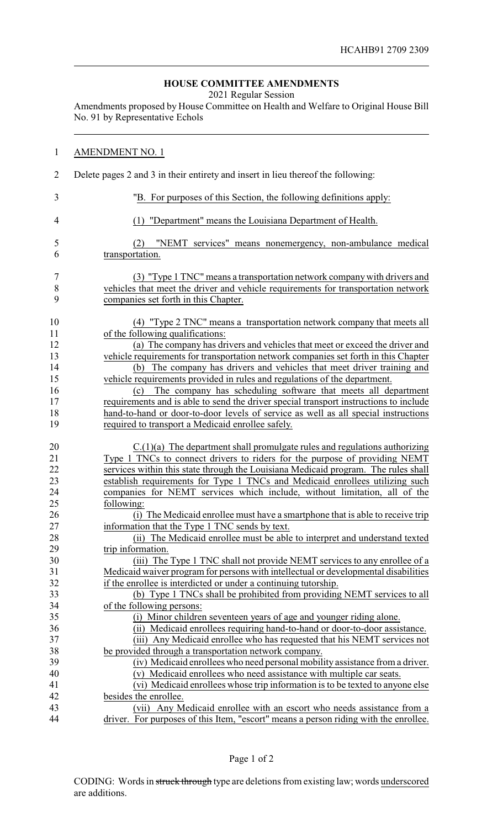## **HOUSE COMMITTEE AMENDMENTS**

2021 Regular Session

Amendments proposed by House Committee on Health and Welfare to Original House Bill No. 91 by Representative Echols

| $\mathbf{1}$   | <b>AMENDMENT NO. 1</b>                                                                                                            |
|----------------|-----------------------------------------------------------------------------------------------------------------------------------|
| $\overline{2}$ | Delete pages 2 and 3 in their entirety and insert in lieu thereof the following:                                                  |
| 3              | "B. For purposes of this Section, the following definitions apply:                                                                |
| 4              | (1) "Department" means the Louisiana Department of Health.                                                                        |
| 5              | "NEMT services" means nonemergency, non-ambulance medical<br>(2)                                                                  |
| 6              | transportation.                                                                                                                   |
| $\overline{7}$ | (3) "Type 1 TNC" means a transportation network company with drivers and                                                          |
| $\,8$          | vehicles that meet the driver and vehicle requirements for transportation network                                                 |
| 9              | companies set forth in this Chapter.                                                                                              |
| 10             | (4) "Type 2 TNC" means a transportation network company that meets all                                                            |
| 11             | of the following qualifications:                                                                                                  |
| 12             | (a) The company has drivers and vehicles that meet or exceed the driver and                                                       |
| 13             | vehicle requirements for transportation network companies set forth in this Chapter                                               |
| 14             | (b) The company has drivers and vehicles that meet driver training and                                                            |
| 15             | vehicle requirements provided in rules and regulations of the department.                                                         |
| 16             | The company has scheduling software that meets all department<br>(c)                                                              |
| 17             | requirements and is able to send the driver special transport instructions to include                                             |
| 18             | hand-to-hand or door-to-door levels of service as well as all special instructions                                                |
| 19             | required to transport a Medicaid enrollee safely.                                                                                 |
| 20             | $C(1)(a)$ The department shall promulgate rules and regulations authorizing                                                       |
| 21             | Type 1 TNCs to connect drivers to riders for the purpose of providing NEMT                                                        |
| 22             | services within this state through the Louisiana Medicaid program. The rules shall                                                |
| 23             | establish requirements for Type 1 TNCs and Medicaid enrollees utilizing such                                                      |
| 24             | companies for NEMT services which include, without limitation, all of the                                                         |
| 25             | following:                                                                                                                        |
| 26             | (i) The Medicaid enrollee must have a smartphone that is able to receive trip                                                     |
| 27             | information that the Type 1 TNC sends by text.                                                                                    |
| 28             |                                                                                                                                   |
| 29             |                                                                                                                                   |
|                | (ii) The Medicaid enrollee must be able to interpret and understand texted                                                        |
|                | trip information.                                                                                                                 |
| 30             | (iii) The Type 1 TNC shall not provide NEMT services to any enrollee of a                                                         |
| 31<br>32       | Medicaid waiver program for persons with intellectual or developmental disabilities                                               |
| 33             | if the enrollee is interdicted or under a continuing tutorship.                                                                   |
| 34             | (b) Type 1 TNCs shall be prohibited from providing NEMT services to all<br>of the following persons:                              |
| 35             |                                                                                                                                   |
|                | (i) Minor children seventeen years of age and younger riding alone.                                                               |
| 36             | (ii) Medicaid enrollees requiring hand-to-hand or door-to-door assistance.                                                        |
| 37<br>38       | (iii) Any Medicaid enrollee who has requested that his NEMT services not<br>be provided through a transportation network company. |
| 39             | (iv) Medicaid enrollees who need personal mobility assistance from a driver.                                                      |
| 40             | (v) Medicaid enrollees who need assistance with multiple car seats.                                                               |
| 41             | (vi) Medicaid enrollees whose trip information is to be texted to anyone else                                                     |
| 42             | besides the enrollee.                                                                                                             |
| 43             | Any Medicaid enrollee with an escort who needs assistance from a<br>(vii)                                                         |